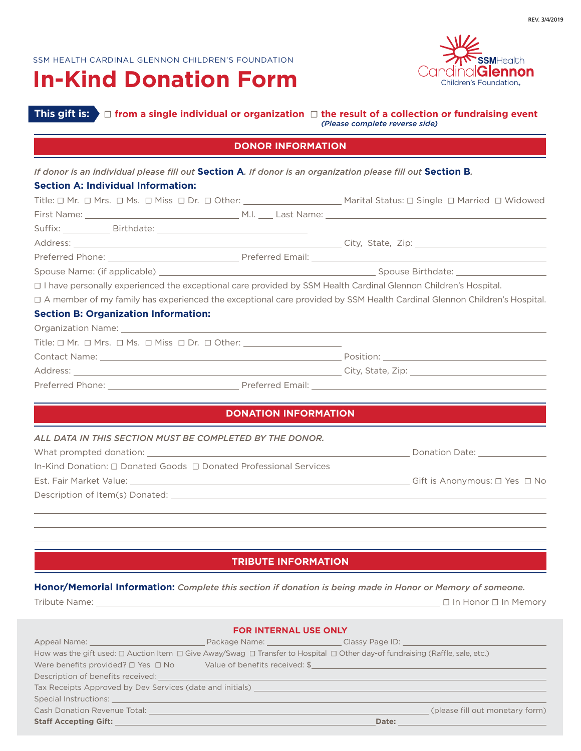# **In-Kind Donation Form**



## **This gift is:** ☐ **from a single individual or organization** ☐ **the result of a collection or fundraising event**  *(Please complete reverse side)*

#### **DONOR INFORMATION**

| <b>Section A: Individual Information:</b><br>Title: □ Mr. □ Mrs. □ Ms. □ Miss □ Dr. □ Other: ________________________________ Marital Status: □ Single □ Married □ Widowed<br>□ I have personally experienced the exceptional care provided by SSM Health Cardinal Glennon Children's Hospital.<br>□ A member of my family has experienced the exceptional care provided by SSM Health Cardinal Glennon Children's Hospital.<br><b>Section B: Organization Information:</b><br><b>DONATION INFORMATION</b><br>ALL DATA IN THIS SECTION MUST BE COMPLETED BY THE DONOR.<br>In-Kind Donation: □ Donated Goods □ Donated Professional Services | If donor is an individual please fill out Section A. If donor is an organization please fill out Section B. |  |  |
|---------------------------------------------------------------------------------------------------------------------------------------------------------------------------------------------------------------------------------------------------------------------------------------------------------------------------------------------------------------------------------------------------------------------------------------------------------------------------------------------------------------------------------------------------------------------------------------------------------------------------------------------|-------------------------------------------------------------------------------------------------------------|--|--|
|                                                                                                                                                                                                                                                                                                                                                                                                                                                                                                                                                                                                                                             |                                                                                                             |  |  |
|                                                                                                                                                                                                                                                                                                                                                                                                                                                                                                                                                                                                                                             |                                                                                                             |  |  |
|                                                                                                                                                                                                                                                                                                                                                                                                                                                                                                                                                                                                                                             |                                                                                                             |  |  |
|                                                                                                                                                                                                                                                                                                                                                                                                                                                                                                                                                                                                                                             |                                                                                                             |  |  |
|                                                                                                                                                                                                                                                                                                                                                                                                                                                                                                                                                                                                                                             |                                                                                                             |  |  |
|                                                                                                                                                                                                                                                                                                                                                                                                                                                                                                                                                                                                                                             |                                                                                                             |  |  |
|                                                                                                                                                                                                                                                                                                                                                                                                                                                                                                                                                                                                                                             |                                                                                                             |  |  |
|                                                                                                                                                                                                                                                                                                                                                                                                                                                                                                                                                                                                                                             |                                                                                                             |  |  |
|                                                                                                                                                                                                                                                                                                                                                                                                                                                                                                                                                                                                                                             |                                                                                                             |  |  |
|                                                                                                                                                                                                                                                                                                                                                                                                                                                                                                                                                                                                                                             |                                                                                                             |  |  |
|                                                                                                                                                                                                                                                                                                                                                                                                                                                                                                                                                                                                                                             |                                                                                                             |  |  |
|                                                                                                                                                                                                                                                                                                                                                                                                                                                                                                                                                                                                                                             |                                                                                                             |  |  |
|                                                                                                                                                                                                                                                                                                                                                                                                                                                                                                                                                                                                                                             |                                                                                                             |  |  |
|                                                                                                                                                                                                                                                                                                                                                                                                                                                                                                                                                                                                                                             |                                                                                                             |  |  |
|                                                                                                                                                                                                                                                                                                                                                                                                                                                                                                                                                                                                                                             |                                                                                                             |  |  |
|                                                                                                                                                                                                                                                                                                                                                                                                                                                                                                                                                                                                                                             |                                                                                                             |  |  |
|                                                                                                                                                                                                                                                                                                                                                                                                                                                                                                                                                                                                                                             |                                                                                                             |  |  |
|                                                                                                                                                                                                                                                                                                                                                                                                                                                                                                                                                                                                                                             |                                                                                                             |  |  |
|                                                                                                                                                                                                                                                                                                                                                                                                                                                                                                                                                                                                                                             |                                                                                                             |  |  |
|                                                                                                                                                                                                                                                                                                                                                                                                                                                                                                                                                                                                                                             |                                                                                                             |  |  |
|                                                                                                                                                                                                                                                                                                                                                                                                                                                                                                                                                                                                                                             |                                                                                                             |  |  |
|                                                                                                                                                                                                                                                                                                                                                                                                                                                                                                                                                                                                                                             |                                                                                                             |  |  |
|                                                                                                                                                                                                                                                                                                                                                                                                                                                                                                                                                                                                                                             |                                                                                                             |  |  |

## **TRIBUTE INFORMATION**

**Honor/Memorial Information:** *Complete this section if donation is being made in Honor or Memory of someone.*

 $\overline{a}$ 

Tribute Name: ☐ In Honor ☐ In Memory

|                                                                                                                                                                                                                                | <b>FOR INTERNAL USE ONLY</b>                                                     |       |                                 |
|--------------------------------------------------------------------------------------------------------------------------------------------------------------------------------------------------------------------------------|----------------------------------------------------------------------------------|-------|---------------------------------|
| Appeal Name: Name: Name and Appeal Name and Appeal Name and Appeal Appeal of the Appeal Appeal of the Appeal Appeal of the Appeal of the Appeal of the Appeal of the Appeal of the Appeal of the Appeal of the Appeal of the A | Package Name: _____________________Classy Page ID: _____________________________ |       |                                 |
| How was the gift used: $\Box$ Auction Item $\Box$ Give Away/Swag $\Box$ Transfer to Hospital $\Box$ Other day-of fundraising (Raffle, sale, etc.)                                                                              |                                                                                  |       |                                 |
| Were benefits provided? $\square$ Yes $\square$ No Yalue of benefits received: \$                                                                                                                                              |                                                                                  |       |                                 |
| Description of benefits received: The contract of the contract of the contract of the contract of the contract of the contract of the contract of the contract of the contract of the contract of the contract of the contract |                                                                                  |       |                                 |
| Tax Receipts Approved by Dev Services (date and initials) ______________________                                                                                                                                               |                                                                                  |       |                                 |
| Special Instructions: Annual Special Instructions and the contract of the contract of the contract of the contract of the contract of the contract of the contract of the contract of the contract of the contract of the cont |                                                                                  |       |                                 |
| Cash Donation Revenue Total: New York Cash Donation Cash Donation Cash of the Cash of the Cash of the Cash of                                                                                                                  |                                                                                  |       | (please fill out monetary form) |
| <b>Staff Accepting Gift:</b>                                                                                                                                                                                                   |                                                                                  | Date: |                                 |